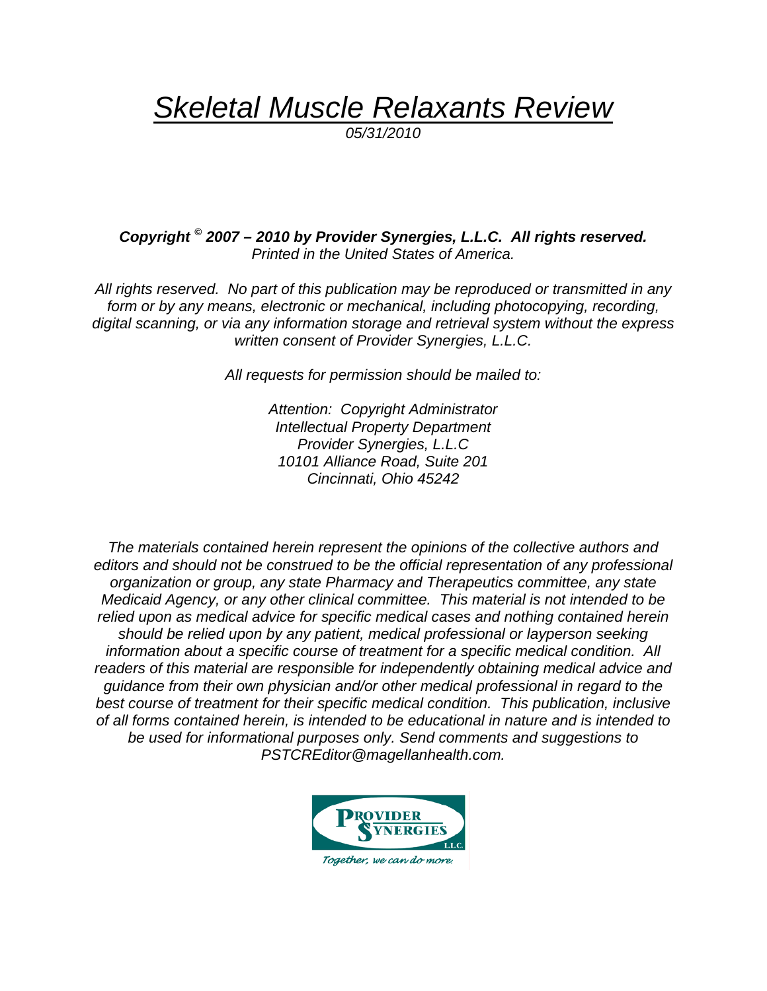*Skeletal Muscle Relaxants Review*

*05/31/2010*

*Copyright © 2007 – 2010 by Provider Synergies, L.L.C. All rights reserved. Printed in the United States of America.*

*All rights reserved. No part of this publication may be reproduced or transmitted in any*  form or by any means, electronic or mechanical, including photocopying, recording, *digital scanning, or via any information storage and retrieval system without the express written consent of Provider Synergies, L.L.C.* 

*All requests for permission should be mailed to:* 

*Attention: Copyright Administrator Intellectual Property Department Provider Synergies, L.L.C 10101 Alliance Road, Suite 201 Cincinnati, Ohio 45242*

*The materials contained herein represent the opinions of the collective authors and editors and should not be construed to be the official representation of any professional organization or group, any state Pharmacy and Therapeutics committee, any state Medicaid Agency, or any other clinical committee. This material is not intended to be relied upon as medical advice for specific medical cases and nothing contained herein should be relied upon by any patient, medical professional or layperson seeking information about a specific course of treatment for a specific medical condition. All readers of this material are responsible for independently obtaining medical advice and guidance from their own physician and/or other medical professional in regard to the best course of treatment for their specific medical condition. This publication, inclusive of all forms contained herein, is intended to be educational in nature and is intended to be used for informational purposes only. Send comments and suggestions to PSTCREditor@magellanhealth.com.*

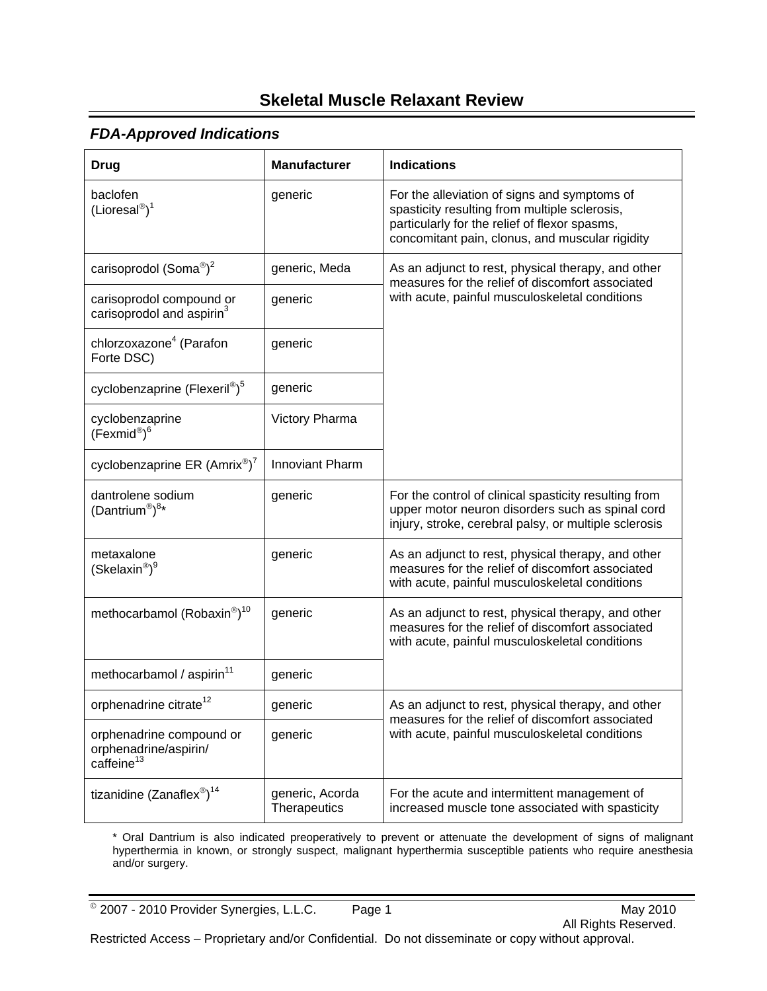# **Skeletal Muscle Relaxant Review**

### *FDA-Approved Indications*

| <b>Drug</b>                                                                 | <b>Manufacturer</b>             | <b>Indications</b>                                                                                                                                                                                |
|-----------------------------------------------------------------------------|---------------------------------|---------------------------------------------------------------------------------------------------------------------------------------------------------------------------------------------------|
| baclofen<br>$(Lioresal^{\circledR})^1$                                      | generic                         | For the alleviation of signs and symptoms of<br>spasticity resulting from multiple sclerosis,<br>particularly for the relief of flexor spasms,<br>concomitant pain, clonus, and muscular rigidity |
| carisoprodol (Soma®) <sup>2</sup>                                           | generic, Meda                   | As an adjunct to rest, physical therapy, and other<br>measures for the relief of discomfort associated                                                                                            |
| carisoprodol compound or<br>carisoprodol and aspirin <sup>3</sup>           | generic                         | with acute, painful musculoskeletal conditions                                                                                                                                                    |
| chlorzoxazone <sup>4</sup> (Parafon<br>Forte DSC)                           | generic                         |                                                                                                                                                                                                   |
| cyclobenzaprine (Flexeril®) <sup>5</sup>                                    | generic                         |                                                                                                                                                                                                   |
| cyclobenzaprine<br>(Fexmid®) <sup>6</sup>                                   | Victory Pharma                  |                                                                                                                                                                                                   |
| cyclobenzaprine ER $(Amrix^{\circledast})^7$                                | <b>Innoviant Pharm</b>          |                                                                                                                                                                                                   |
| dantrolene sodium<br>$(Dantrium^{\circledR})^{8*}$                          | generic                         | For the control of clinical spasticity resulting from<br>upper motor neuron disorders such as spinal cord<br>injury, stroke, cerebral palsy, or multiple sclerosis                                |
| metaxalone<br>(Skelaxin <sup>®</sup> ) <sup>9</sup>                         | generic                         | As an adjunct to rest, physical therapy, and other<br>measures for the relief of discomfort associated<br>with acute, painful musculoskeletal conditions                                          |
| methocarbamol (Robaxin®) <sup>10</sup>                                      | generic                         | As an adjunct to rest, physical therapy, and other<br>measures for the relief of discomfort associated<br>with acute, painful musculoskeletal conditions                                          |
| methocarbamol / aspirin <sup>11</sup>                                       | generic                         |                                                                                                                                                                                                   |
| orphenadrine citrate <sup>12</sup>                                          | generic                         | As an adjunct to rest, physical therapy, and other<br>measures for the relief of discomfort associated                                                                                            |
| orphenadrine compound or<br>orphenadrine/aspirin/<br>caffeine <sup>13</sup> | generic                         | with acute, painful musculoskeletal conditions                                                                                                                                                    |
| tizanidine (Zanaflex®) <sup>14</sup>                                        | generic, Acorda<br>Therapeutics | For the acute and intermittent management of<br>increased muscle tone associated with spasticity                                                                                                  |

\* Oral Dantrium is also indicated preoperatively to prevent or attenuate the development of signs of malignant hyperthermia in known, or strongly suspect, malignant hyperthermia susceptible patients who require anesthesia and/or surgery.

 $^{\circ}$  2007 - 2010 Provider Synergies, L.L.C. Page 1 May 2010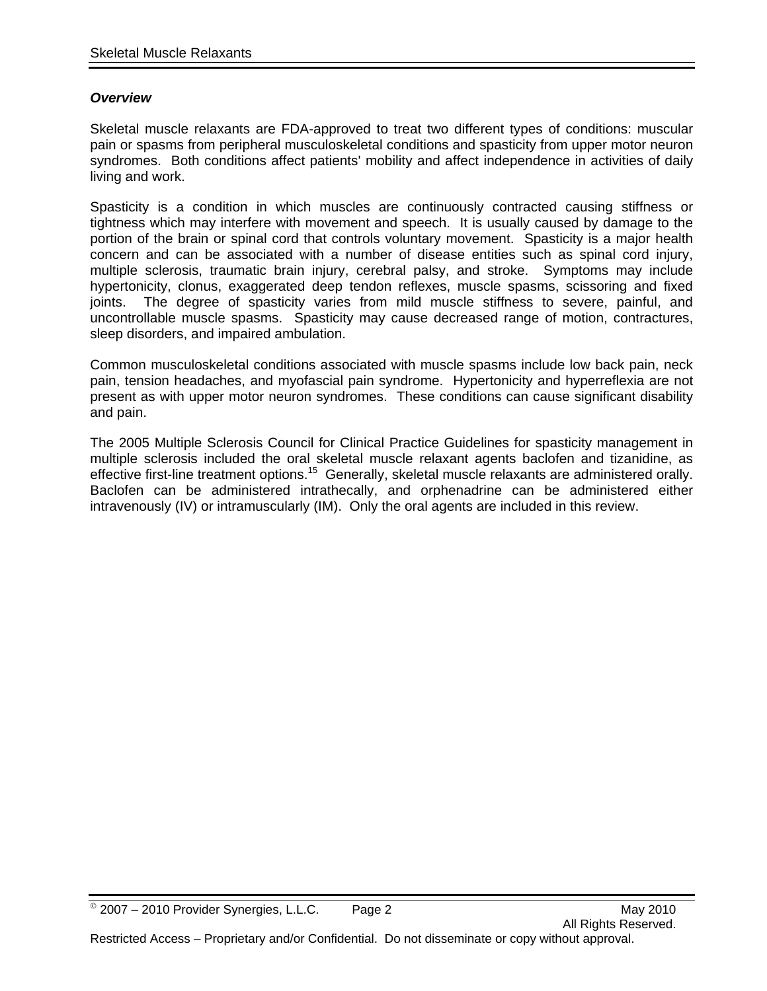#### *Overview*

Skeletal muscle relaxants are FDA-approved to treat two different types of conditions: muscular pain or spasms from peripheral musculoskeletal conditions and spasticity from upper motor neuron syndromes. Both conditions affect patients' mobility and affect independence in activities of daily living and work.

Spasticity is a condition in which muscles are continuously contracted causing stiffness or tightness which may interfere with movement and speech. It is usually caused by damage to the portion of the brain or spinal cord that controls voluntary movement. Spasticity is a major health concern and can be associated with a number of disease entities such as spinal cord injury, multiple sclerosis, traumatic brain injury, cerebral palsy, and stroke. Symptoms may include hypertonicity, clonus, exaggerated deep tendon reflexes, muscle spasms, scissoring and fixed joints. The degree of spasticity varies from mild muscle stiffness to severe, painful, and uncontrollable muscle spasms. Spasticity may cause decreased range of motion, contractures, sleep disorders, and impaired ambulation.

Common musculoskeletal conditions associated with muscle spasms include low back pain, neck pain, tension headaches, and myofascial pain syndrome. Hypertonicity and hyperreflexia are not present as with upper motor neuron syndromes. These conditions can cause significant disability and pain.

The 2005 Multiple Sclerosis Council for Clinical Practice Guidelines for spasticity management in multiple sclerosis included the oral skeletal muscle relaxant agents baclofen and tizanidine, as effective first-line treatment options.<sup>15</sup> Generally, skeletal muscle relaxants are administered orally. Baclofen can be administered intrathecally, and orphenadrine can be administered either intravenously (IV) or intramuscularly (IM). Only the oral agents are included in this review.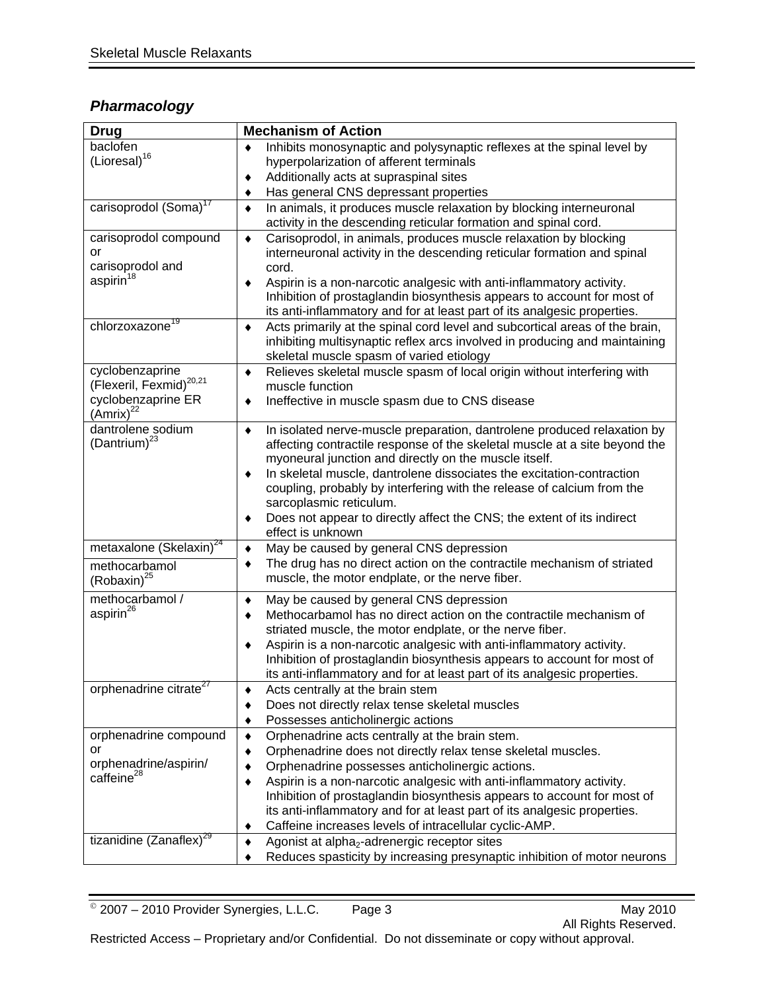# *Pharmacology*

| <b>Drug</b>                                                                                             | <b>Mechanism of Action</b>                                                                                                                                                                                                                                                                                                                                                                                                                                                                       |  |  |
|---------------------------------------------------------------------------------------------------------|--------------------------------------------------------------------------------------------------------------------------------------------------------------------------------------------------------------------------------------------------------------------------------------------------------------------------------------------------------------------------------------------------------------------------------------------------------------------------------------------------|--|--|
| baclofen<br>(Lioresal) <sup>16</sup>                                                                    | Inhibits monosynaptic and polysynaptic reflexes at the spinal level by<br>hyperpolarization of afferent terminals<br>Additionally acts at supraspinal sites<br>٠<br>Has general CNS depressant properties<br>٠                                                                                                                                                                                                                                                                                   |  |  |
| carisoprodol (Soma) <sup>17</sup>                                                                       | In animals, it produces muscle relaxation by blocking interneuronal<br>٠<br>activity in the descending reticular formation and spinal cord.                                                                                                                                                                                                                                                                                                                                                      |  |  |
| carisoprodol compound<br>or<br>carisoprodol and<br>aspirin <sup>18</sup><br>chlorzoxazone <sup>19</sup> | Carisoprodol, in animals, produces muscle relaxation by blocking<br>٠<br>interneuronal activity in the descending reticular formation and spinal<br>cord.<br>Aspirin is a non-narcotic analgesic with anti-inflammatory activity.<br>٠<br>Inhibition of prostaglandin biosynthesis appears to account for most of<br>its anti-inflammatory and for at least part of its analgesic properties.                                                                                                    |  |  |
|                                                                                                         | Acts primarily at the spinal cord level and subcortical areas of the brain,<br>٠<br>inhibiting multisynaptic reflex arcs involved in producing and maintaining<br>skeletal muscle spasm of varied etiology                                                                                                                                                                                                                                                                                       |  |  |
| cyclobenzaprine<br>(Flexeril, Fexmid) <sup>20,21</sup><br>cyclobenzaprine ER<br>(Amrix) <sup>22</sup>   | Relieves skeletal muscle spasm of local origin without interfering with<br>٠<br>muscle function<br>Ineffective in muscle spasm due to CNS disease                                                                                                                                                                                                                                                                                                                                                |  |  |
| dantrolene sodium<br>(Dantrium) $^{23}$                                                                 | In isolated nerve-muscle preparation, dantrolene produced relaxation by<br>٠<br>affecting contractile response of the skeletal muscle at a site beyond the<br>myoneural junction and directly on the muscle itself.<br>In skeletal muscle, dantrolene dissociates the excitation-contraction<br>coupling, probably by interfering with the release of calcium from the<br>sarcoplasmic reticulum.<br>Does not appear to directly affect the CNS; the extent of its indirect<br>effect is unknown |  |  |
| metaxalone (Skelaxin) <sup>24</sup><br>methocarbamol<br>(Robaxin) <sup>25</sup>                         | May be caused by general CNS depression<br>٠<br>The drug has no direct action on the contractile mechanism of striated<br>٠<br>muscle, the motor endplate, or the nerve fiber.                                                                                                                                                                                                                                                                                                                   |  |  |
| methocarbamol /<br>aspirin <sup>26</sup>                                                                | May be caused by general CNS depression<br>٠<br>Methocarbamol has no direct action on the contractile mechanism of<br>٠<br>striated muscle, the motor endplate, or the nerve fiber.<br>Aspirin is a non-narcotic analgesic with anti-inflammatory activity.<br>٠<br>Inhibition of prostaglandin biosynthesis appears to account for most of<br>its anti-inflammatory and for at least part of its analgesic properties.                                                                          |  |  |
| orphenadrine citrate <sup>27</sup>                                                                      | Acts centrally at the brain stem<br>Does not directly relax tense skeletal muscles<br>Possesses anticholinergic actions                                                                                                                                                                                                                                                                                                                                                                          |  |  |
| orphenadrine compound<br>or<br>orphenadrine/aspirin/<br>caffeine <sup>28</sup>                          | Orphenadrine acts centrally at the brain stem.<br>٠<br>Orphenadrine does not directly relax tense skeletal muscles.<br>Orphenadrine possesses anticholinergic actions.<br>Aspirin is a non-narcotic analgesic with anti-inflammatory activity.<br>٠<br>Inhibition of prostaglandin biosynthesis appears to account for most of<br>its anti-inflammatory and for at least part of its analgesic properties.<br>Caffeine increases levels of intracellular cyclic-AMP.                             |  |  |
| tizanidine (Zanaflex) <sup>29</sup>                                                                     | Agonist at alpha <sub>2</sub> -adrenergic receptor sites<br>٠<br>Reduces spasticity by increasing presynaptic inhibition of motor neurons                                                                                                                                                                                                                                                                                                                                                        |  |  |

© 2007 – 2010 Provider Synergies, L.L.C. Page 3 May 2010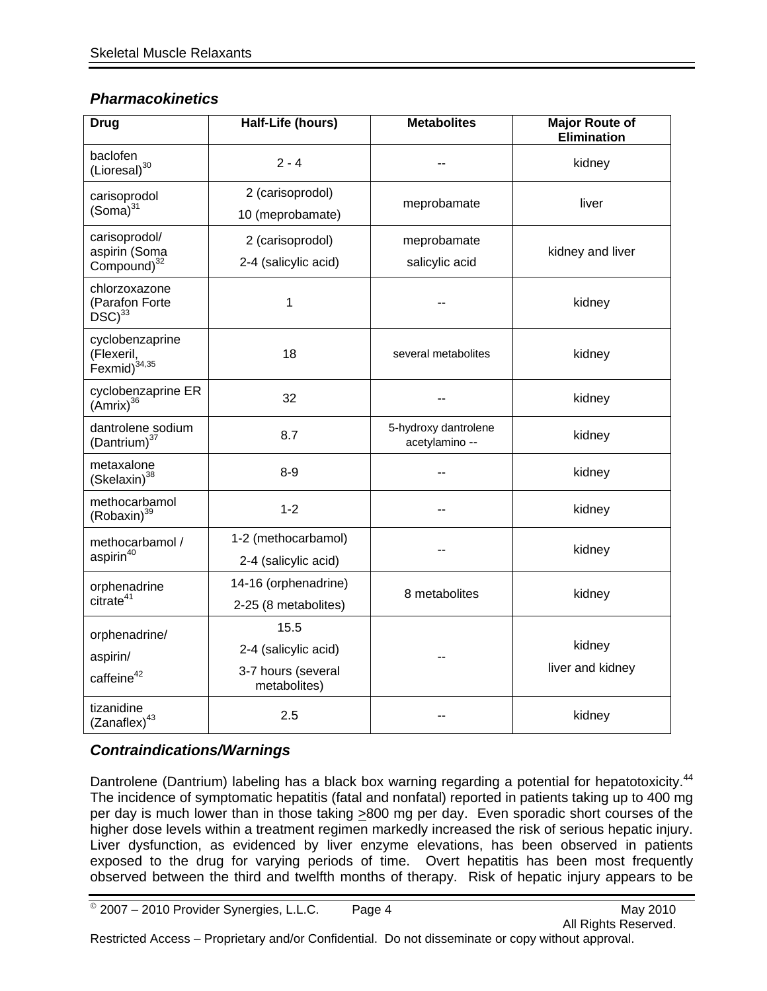### *Pharmacokinetics*

| <b>Drug</b>                                               | Half-Life (hours)                                                  | <b>Metabolites</b>                     | <b>Major Route of</b><br><b>Elimination</b> |  |
|-----------------------------------------------------------|--------------------------------------------------------------------|----------------------------------------|---------------------------------------------|--|
| baclofen<br>$(Lioresal)^{30}$                             | $2 - 4$                                                            |                                        | kidney                                      |  |
| carisoprodol<br>$(Soma)^{31}$                             | 2 (carisoprodol)<br>10 (meprobamate)                               | meprobamate                            | liver                                       |  |
| carisoprodol/<br>aspirin (Soma<br>Compound) <sup>32</sup> | 2 (carisoprodol)<br>2-4 (salicylic acid)                           | meprobamate<br>salicylic acid          | kidney and liver                            |  |
| chlorzoxazone<br>(Parafon Forte<br>$DSC)^{33}$            | 1                                                                  |                                        | kidney                                      |  |
| cyclobenzaprine<br>(Flexeril,<br>Fexmid) <sup>34,35</sup> | 18                                                                 | several metabolites                    | kidney                                      |  |
| cyclobenzaprine ER<br>$(Amrix)^{36}$                      | 32                                                                 |                                        | kidney                                      |  |
| dantrolene sodium<br>(Dantrium) <sup>37</sup>             | 8.7                                                                | 5-hydroxy dantrolene<br>acetylamino -- | kidney                                      |  |
| metaxalone<br>(Skelaxin) <sup>38</sup>                    | $8-9$                                                              |                                        | kidney                                      |  |
| methocarbamol<br>(Robaxin) <sup>39</sup>                  | $1 - 2$                                                            |                                        | kidney                                      |  |
| methocarbamol /<br>aspirin <sup>40</sup>                  | 1-2 (methocarbamol)<br>2-4 (salicylic acid)                        |                                        | kidney                                      |  |
| orphenadrine<br>citrate <sup>41</sup>                     | 14-16 (orphenadrine)<br>2-25 (8 metabolites)                       | 8 metabolites                          | kidney                                      |  |
| orphenadrine/<br>aspirin/<br>caffeine <sup>42</sup>       | 15.5<br>2-4 (salicylic acid)<br>3-7 hours (several<br>metabolites) |                                        | kidney<br>liver and kidney                  |  |
| tizanidine<br>(Zanaflex) <sup>43</sup>                    | 2.5                                                                |                                        | kidney                                      |  |

# *Contraindications/Warnings*

Dantrolene (Dantrium) labeling has a black box warning regarding a potential for hepatotoxicity.<sup>44</sup> The incidence of symptomatic hepatitis (fatal and nonfatal) reported in patients taking up to 400 mg per day is much lower than in those taking >800 mg per day. Even sporadic short courses of the higher dose levels within a treatment regimen markedly increased the risk of serious hepatic injury. Liver dysfunction, as evidenced by liver enzyme elevations, has been observed in patients exposed to the drug for varying periods of time. Overt hepatitis has been most frequently observed between the third and twelfth months of therapy. Risk of hepatic injury appears to be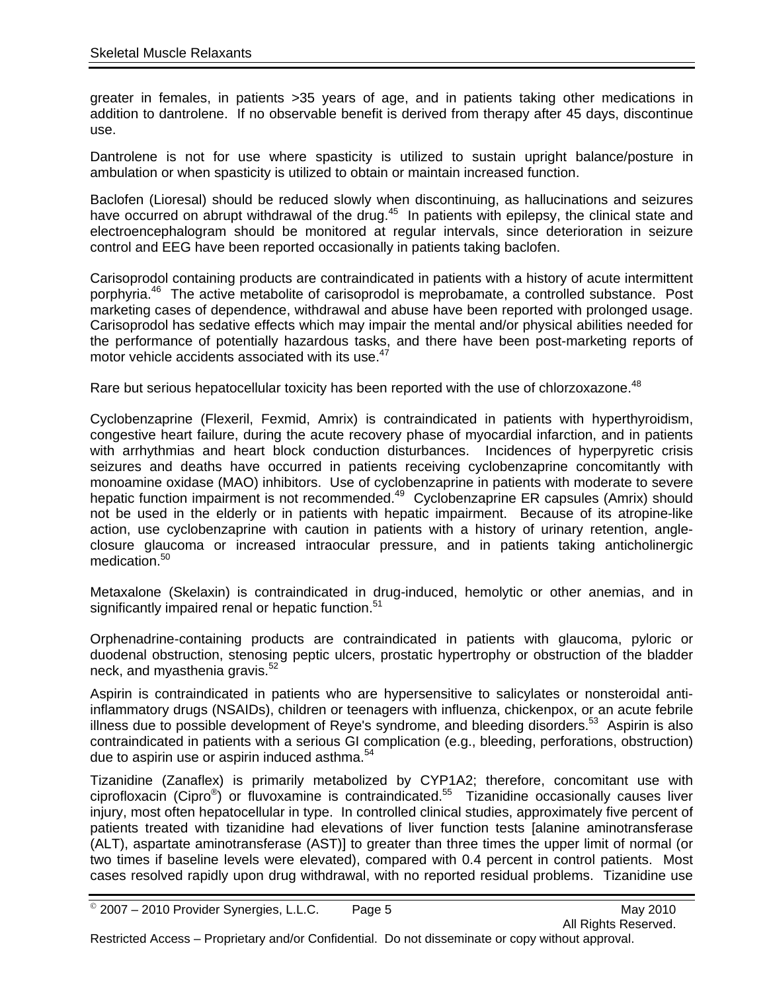greater in females, in patients >35 years of age, and in patients taking other medications in addition to dantrolene. If no observable benefit is derived from therapy after 45 days, discontinue use.

Dantrolene is not for use where spasticity is utilized to sustain upright balance/posture in ambulation or when spasticity is utilized to obtain or maintain increased function.

Baclofen (Lioresal) should be reduced slowly when discontinuing, as hallucinations and seizures have occurred on abrupt withdrawal of the drug.<sup>45</sup> In patients with epilepsy, the clinical state and electroencephalogram should be monitored at regular intervals, since deterioration in seizure control and EEG have been reported occasionally in patients taking baclofen.

Carisoprodol containing products are contraindicated in patients with a history of acute intermittent porphyria.46 The active metabolite of carisoprodol is meprobamate, a controlled substance. Post marketing cases of dependence, withdrawal and abuse have been reported with prolonged usage. Carisoprodol has sedative effects which may impair the mental and/or physical abilities needed for the performance of potentially hazardous tasks, and there have been post-marketing reports of motor vehicle accidents associated with its use.<sup>4</sup>

Rare but serious hepatocellular toxicity has been reported with the use of chlorzoxazone.<sup>48</sup>

Cyclobenzaprine (Flexeril, Fexmid, Amrix) is contraindicated in patients with hyperthyroidism, congestive heart failure, during the acute recovery phase of myocardial infarction, and in patients with arrhythmias and heart block conduction disturbances. Incidences of hyperpyretic crisis seizures and deaths have occurred in patients receiving cyclobenzaprine concomitantly with monoamine oxidase (MAO) inhibitors. Use of cyclobenzaprine in patients with moderate to severe hepatic function impairment is not recommended.<sup>49</sup> Cyclobenzaprine ER capsules (Amrix) should not be used in the elderly or in patients with hepatic impairment. Because of its atropine-like action, use cyclobenzaprine with caution in patients with a history of urinary retention, angleclosure glaucoma or increased intraocular pressure, and in patients taking anticholinergic medication.<sup>50</sup>

Metaxalone (Skelaxin) is contraindicated in drug-induced, hemolytic or other anemias, and in significantly impaired renal or hepatic function.<sup>51</sup>

Orphenadrine-containing products are contraindicated in patients with glaucoma, pyloric or duodenal obstruction, stenosing peptic ulcers, prostatic hypertrophy or obstruction of the bladder neck, and myasthenia gravis.<sup>52</sup>

Aspirin is contraindicated in patients who are hypersensitive to salicylates or nonsteroidal antiinflammatory drugs (NSAIDs), children or teenagers with influenza, chickenpox, or an acute febrile illness due to possible development of Reye's syndrome, and bleeding disorders.<sup>53</sup> Aspirin is also contraindicated in patients with a serious GI complication (e.g., bleeding, perforations, obstruction) due to aspirin use or aspirin induced asthma.<sup>54</sup>

Tizanidine (Zanaflex) is primarily metabolized by CYP1A2; therefore, concomitant use with ciprofloxacin (Cipro®) or fluvoxamine is contraindicated.55 Tizanidine occasionally causes liver injury, most often hepatocellular in type. In controlled clinical studies, approximately five percent of patients treated with tizanidine had elevations of liver function tests [alanine aminotransferase (ALT), aspartate aminotransferase (AST)] to greater than three times the upper limit of normal (or two times if baseline levels were elevated), compared with 0.4 percent in control patients. Most cases resolved rapidly upon drug withdrawal, with no reported residual problems. Tizanidine use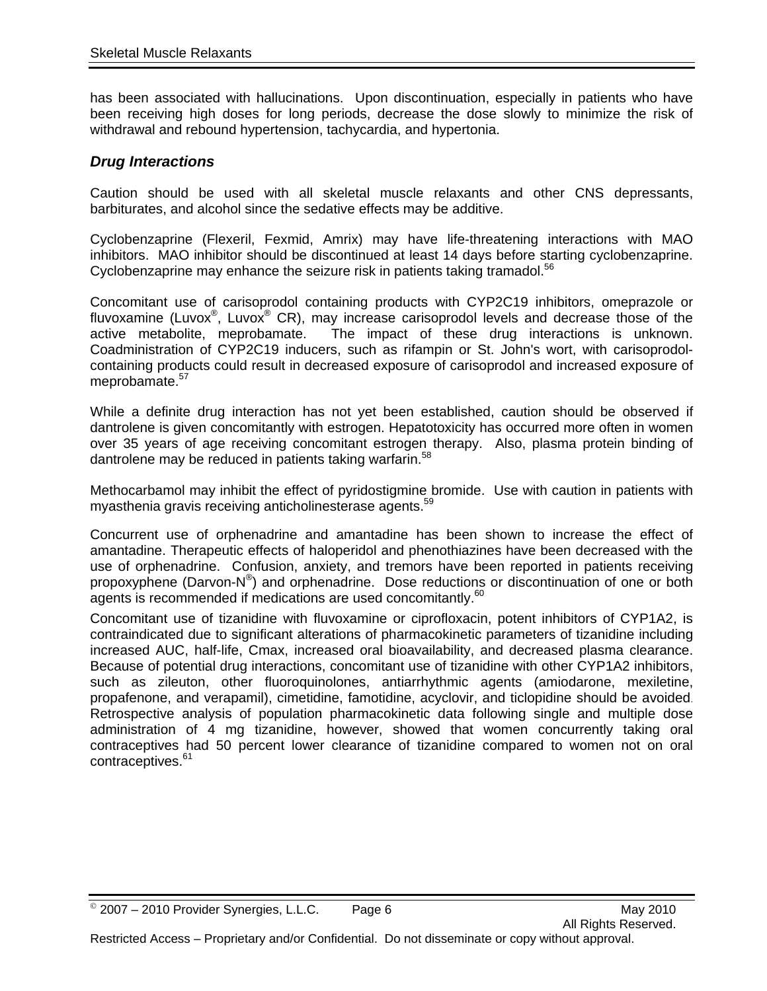has been associated with hallucinations. Upon discontinuation, especially in patients who have been receiving high doses for long periods, decrease the dose slowly to minimize the risk of withdrawal and rebound hypertension, tachycardia, and hypertonia.

### *Drug Interactions*

Caution should be used with all skeletal muscle relaxants and other CNS depressants, barbiturates, and alcohol since the sedative effects may be additive.

Cyclobenzaprine (Flexeril, Fexmid, Amrix) may have life-threatening interactions with MAO inhibitors. MAO inhibitor should be discontinued at least 14 days before starting cyclobenzaprine. Cyclobenzaprine may enhance the seizure risk in patients taking tramadol.<sup>56</sup>

Concomitant use of carisoprodol containing products with CYP2C19 inhibitors, omeprazole or fluvoxamine (Luvox<sup>®</sup>, Luvox<sup>®</sup> CR), may increase carisoprodol levels and decrease those of the active metabolite, meprobamate. The impact of these drug interactions is unknown. Coadministration of CYP2C19 inducers, such as rifampin or St. John's wort, with carisoprodolcontaining products could result in decreased exposure of carisoprodol and increased exposure of meprobamate.<sup>57</sup>

While a definite drug interaction has not yet been established, caution should be observed if dantrolene is given concomitantly with estrogen. Hepatotoxicity has occurred more often in women over 35 years of age receiving concomitant estrogen therapy. Also, plasma protein binding of dantrolene may be reduced in patients taking warfarin.<sup>58</sup>

Methocarbamol may inhibit the effect of pyridostigmine bromide. Use with caution in patients with myasthenia gravis receiving anticholinesterase agents.<sup>59</sup>

Concurrent use of orphenadrine and amantadine has been shown to increase the effect of amantadine. Therapeutic effects of haloperidol and phenothiazines have been decreased with the use of orphenadrine. Confusion, anxiety, and tremors have been reported in patients receiving propoxyphene (Darvon-N®) and orphenadrine. Dose reductions or discontinuation of one or both agents is recommended if medications are used concomitantly.<sup>60</sup>

Concomitant use of tizanidine with fluvoxamine or ciprofloxacin, potent inhibitors of CYP1A2, is contraindicated due to significant alterations of pharmacokinetic parameters of tizanidine including increased AUC, half-life, Cmax, increased oral bioavailability, and decreased plasma clearance. Because of potential drug interactions, concomitant use of tizanidine with other CYP1A2 inhibitors, such as zileuton, other fluoroquinolones, antiarrhythmic agents (amiodarone, mexiletine, propafenone, and verapamil), cimetidine, famotidine, acyclovir, and ticlopidine should be avoided. Retrospective analysis of population pharmacokinetic data following single and multiple dose administration of 4 mg tizanidine, however, showed that women concurrently taking oral contraceptives had 50 percent lower clearance of tizanidine compared to women not on oral contraceptives.<sup>61</sup>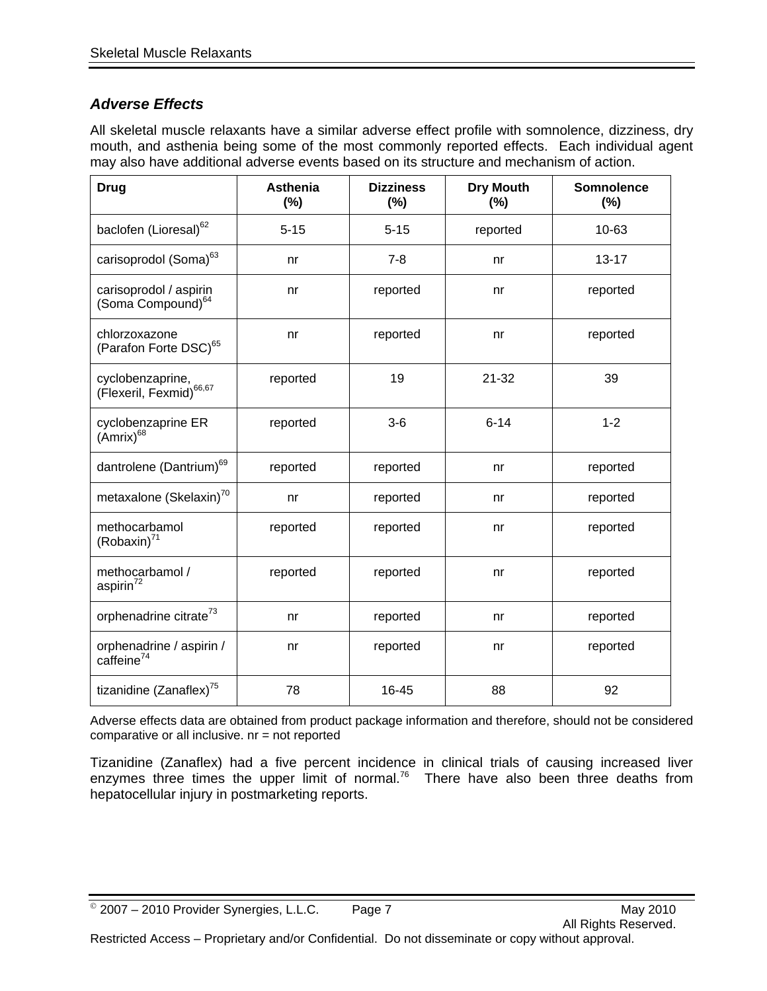# *Adverse Effects*

All skeletal muscle relaxants have a similar adverse effect profile with somnolence, dizziness, dry mouth, and asthenia being some of the most commonly reported effects. Each individual agent may also have additional adverse events based on its structure and mechanism of action.

| <b>Drug</b>                                             | <b>Asthenia</b><br>(%) | <b>Dizziness</b><br>(%) | <b>Dry Mouth</b><br>(%) | <b>Somnolence</b><br>(%) |
|---------------------------------------------------------|------------------------|-------------------------|-------------------------|--------------------------|
| baclofen (Lioresal) <sup>62</sup>                       | $5 - 15$               | $5 - 15$                | reported                | 10-63                    |
| carisoprodol (Soma) <sup>63</sup>                       | nr                     | $7 - 8$                 | nr                      | $13 - 17$                |
| carisoprodol / aspirin<br>(Soma Compound) <sup>64</sup> | nr                     | reported                | nr                      | reported                 |
| chlorzoxazone<br>(Parafon Forte DSC) <sup>65</sup>      | nr                     | reported                | nr                      | reported                 |
| cyclobenzaprine,<br>(Flexeril, Fexmid) <sup>66,67</sup> | reported               | 19                      | $21 - 32$               | 39                       |
| cyclobenzaprine ER<br>(Amrix) <sup>68</sup>             | reported               | $3-6$                   | $6 - 14$                | $1 - 2$                  |
| dantrolene (Dantrium) <sup>69</sup>                     | reported               | reported                | nr                      | reported                 |
| metaxalone (Skelaxin) <sup>70</sup>                     | nr                     | reported                | nr                      | reported                 |
| methocarbamol<br>$(Robaxin)^{71}$                       | reported               | reported                | n <sub>r</sub>          | reported                 |
| methocarbamol /<br>aspirin <sup>72</sup>                | reported               | reported                | n <sub>r</sub>          | reported                 |
| orphenadrine citrate <sup>73</sup>                      | nr                     | reported                | nr                      | reported                 |
| orphenadrine / aspirin /<br>caffeine <sup>74</sup>      | nr                     | reported                | nr                      | reported                 |
| tizanidine (Zanaflex) <sup>75</sup>                     | 78                     | 16-45                   | 88                      | 92                       |

Adverse effects data are obtained from product package information and therefore, should not be considered comparative or all inclusive. nr = not reported

Tizanidine (Zanaflex) had a five percent incidence in clinical trials of causing increased liver enzymes three times the upper limit of normal.<sup>76</sup> There have also been three deaths from hepatocellular injury in postmarketing reports.

 $^{\circ}$  2007 – 2010 Provider Synergies, L.L.C. Page 7 May 2010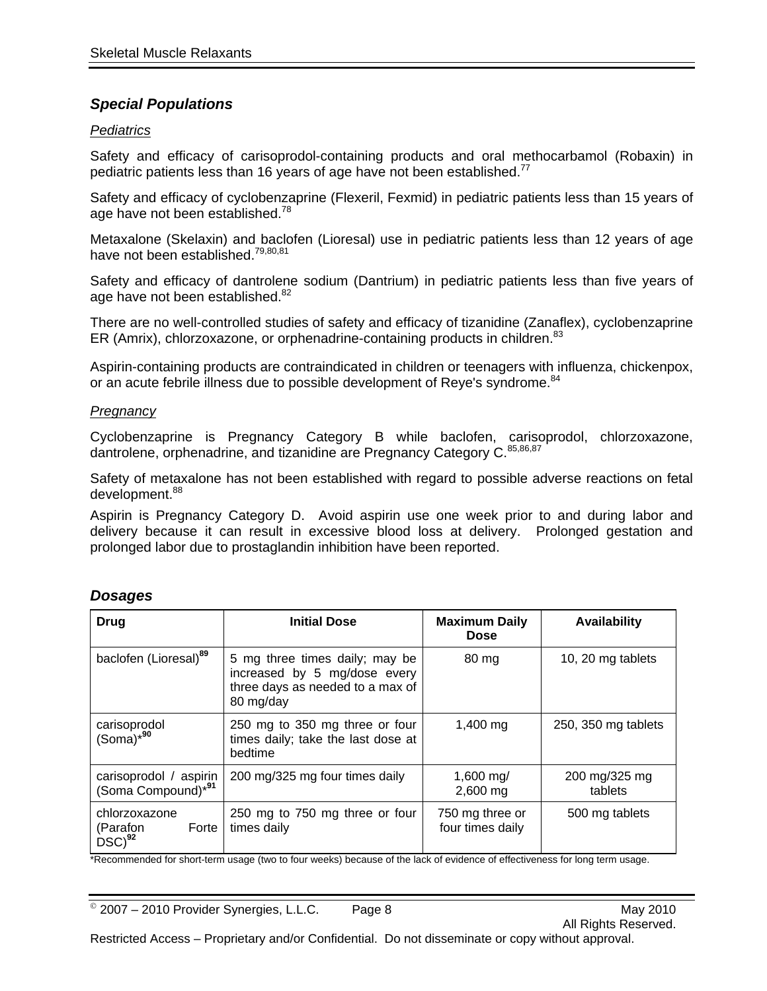### *Special Populations*

### *Pediatrics*

Safety and efficacy of carisoprodol-containing products and oral methocarbamol (Robaxin) in pediatric patients less than 16 years of age have not been established.<sup>77</sup>

Safety and efficacy of cyclobenzaprine (Flexeril, Fexmid) in pediatric patients less than 15 years of age have not been established.<sup>78</sup>

Metaxalone (Skelaxin) and baclofen (Lioresal) use in pediatric patients less than 12 years of age have not been established.<sup>79,80,81</sup>

Safety and efficacy of dantrolene sodium (Dantrium) in pediatric patients less than five years of age have not been established.<sup>82</sup>

There are no well-controlled studies of safety and efficacy of tizanidine (Zanaflex), cyclobenzaprine ER (Amrix), chlorzoxazone, or orphenadrine-containing products in children.<sup>83</sup>

Aspirin-containing products are contraindicated in children or teenagers with influenza, chickenpox, or an acute febrile illness due to possible development of Reye's syndrome.<sup>84</sup>

#### *Pregnancy*

Cyclobenzaprine is Pregnancy Category B while baclofen, carisoprodol, chlorzoxazone, dantrolene, orphenadrine, and tizanidine are Pregnancy Category C. 85,86,87

Safety of metaxalone has not been established with regard to possible adverse reactions on fetal development.<sup>88</sup>

Aspirin is Pregnancy Category D. Avoid aspirin use one week prior to and during labor and delivery because it can result in excessive blood loss at delivery. Prolonged gestation and prolonged labor due to prostaglandin inhibition have been reported.

| Drug                                                     | <b>Initial Dose</b>                                                                                             | <b>Maximum Daily</b><br><b>Dose</b> | <b>Availability</b>      |
|----------------------------------------------------------|-----------------------------------------------------------------------------------------------------------------|-------------------------------------|--------------------------|
| baclofen (Lioresal) <sup>89</sup>                        | 5 mg three times daily; may be<br>increased by 5 mg/dose every<br>three days as needed to a max of<br>80 mg/day | 80 mg                               | 10, 20 mg tablets        |
| carisoprodol<br>$(Soma)*^{90}$                           | 250 mg to 350 mg three or four<br>times daily; take the last dose at<br>bedtime                                 | $1,400 \,\mathrm{mg}$               | 250, 350 mg tablets      |
| carisoprodol / aspirin<br>(Soma Compound) <sup>*91</sup> | 200 mg/325 mg four times daily                                                                                  | 1,600 mg/<br>2,600 mg               | 200 mg/325 mg<br>tablets |
| chlorzoxazone<br>(Parafon<br>Forte<br>$DSC)^{92}$        | 250 mg to 750 mg three or four<br>times daily                                                                   | 750 mg three or<br>four times daily | 500 mg tablets           |

### *Dosages*

\*Recommended for short-term usage (two to four weeks) because of the lack of evidence of effectiveness for long term usage.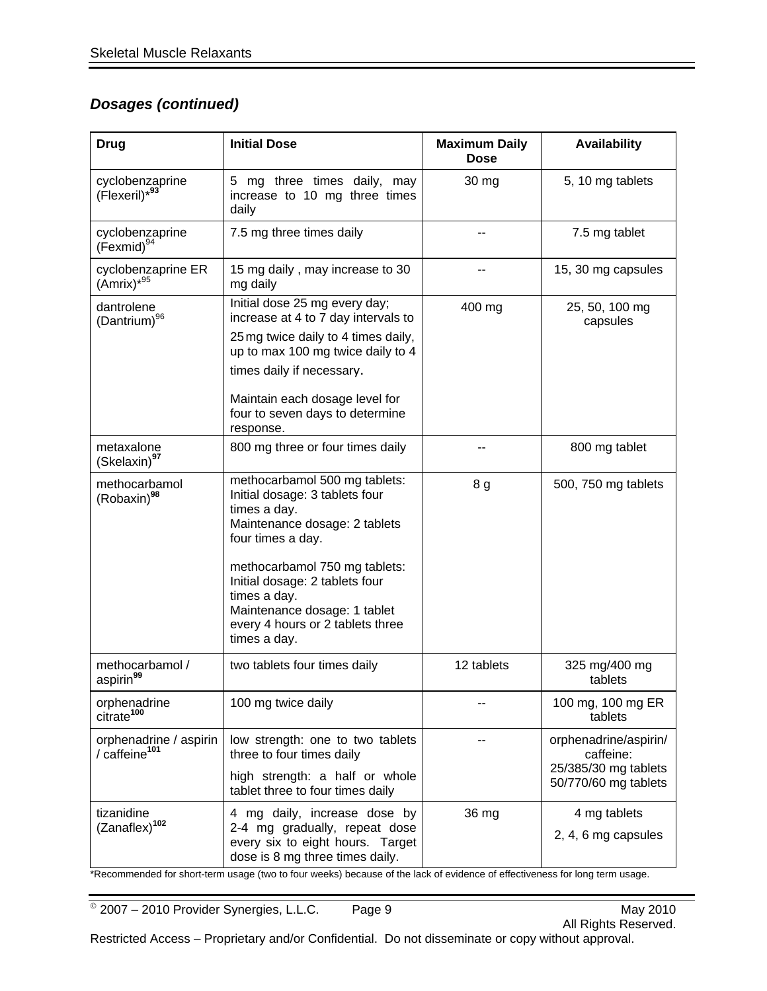# *Dosages (continued)*

| <b>Drug</b>                                         | <b>Initial Dose</b>                                                                                                                                                                                                       | <b>Maximum Daily</b><br><b>Dose</b> | <b>Availability</b>                                                                |
|-----------------------------------------------------|---------------------------------------------------------------------------------------------------------------------------------------------------------------------------------------------------------------------------|-------------------------------------|------------------------------------------------------------------------------------|
| cyclobenzaprine<br>(Flexeril)*93'                   | 5 mg three times daily, may<br>increase to 10 mg three times<br>daily                                                                                                                                                     | 30 mg                               | 5, 10 mg tablets                                                                   |
| cyclobenzaprine<br>$(Fermid)^{94}$                  | 7.5 mg three times daily                                                                                                                                                                                                  |                                     | 7.5 mg tablet                                                                      |
| cyclobenzaprine ER<br>$(Amrix)*^{95}$               | 15 mg daily, may increase to 30<br>mg daily                                                                                                                                                                               |                                     | 15, 30 mg capsules                                                                 |
| dantrolene<br>(Dantrium) <sup>96</sup>              | Initial dose 25 mg every day;<br>increase at 4 to 7 day intervals to<br>25 mg twice daily to 4 times daily,<br>up to max 100 mg twice daily to 4                                                                          | 400 mg                              | 25, 50, 100 mg<br>capsules                                                         |
|                                                     | times daily if necessary.<br>Maintain each dosage level for<br>four to seven days to determine<br>response.                                                                                                               |                                     |                                                                                    |
| metaxalone<br>(Skelaxin) <sup>97</sup>              | 800 mg three or four times daily                                                                                                                                                                                          |                                     | 800 mg tablet                                                                      |
| methocarbamol<br>(Robaxin) <sup>98</sup>            | methocarbamol 500 mg tablets:<br>Initial dosage: 3 tablets four<br>times a day.<br>Maintenance dosage: 2 tablets<br>four times a day.                                                                                     | 8 g                                 | 500, 750 mg tablets                                                                |
|                                                     | methocarbamol 750 mg tablets:<br>Initial dosage: 2 tablets four<br>times a day.<br>Maintenance dosage: 1 tablet<br>every 4 hours or 2 tablets three<br>times a day.                                                       |                                     |                                                                                    |
| methocarbamol /<br>aspirin <sup>99</sup>            | two tablets four times daily                                                                                                                                                                                              | 12 tablets                          | 325 mg/400 mg<br>tablets                                                           |
| orphenadrine<br>citrate <sup>100</sup>              | 100 mg twice daily                                                                                                                                                                                                        |                                     | 100 mg, 100 mg ER<br>tablets                                                       |
| orphenadrine / aspirin<br>/ caffeine <sup>101</sup> | low strength: one to two tablets<br>three to four times daily<br>high strength: a half or whole<br>tablet three to four times daily                                                                                       |                                     | orphenadrine/aspirin/<br>caffeine:<br>25/385/30 mg tablets<br>50/770/60 mg tablets |
| tizanidine<br>(Zanaflex) <sup>102</sup>             | 4 mg daily, increase dose by<br>2-4 mg gradually, repeat dose<br>every six to eight hours. Target<br>dose is 8 mg three times daily.<br>upogo (two to four wooke) because of the look of ovidence of effectiveness for lo | 36 mg                               | 4 mg tablets<br>2, 4, 6 mg capsules                                                |

\*Recommended for short-term usage (two to four weeks) because of the lack of evidence of effectiveness for long term usage.

© 2007 – 2010 Provider Synergies, L.L.C. Page 9 May 2010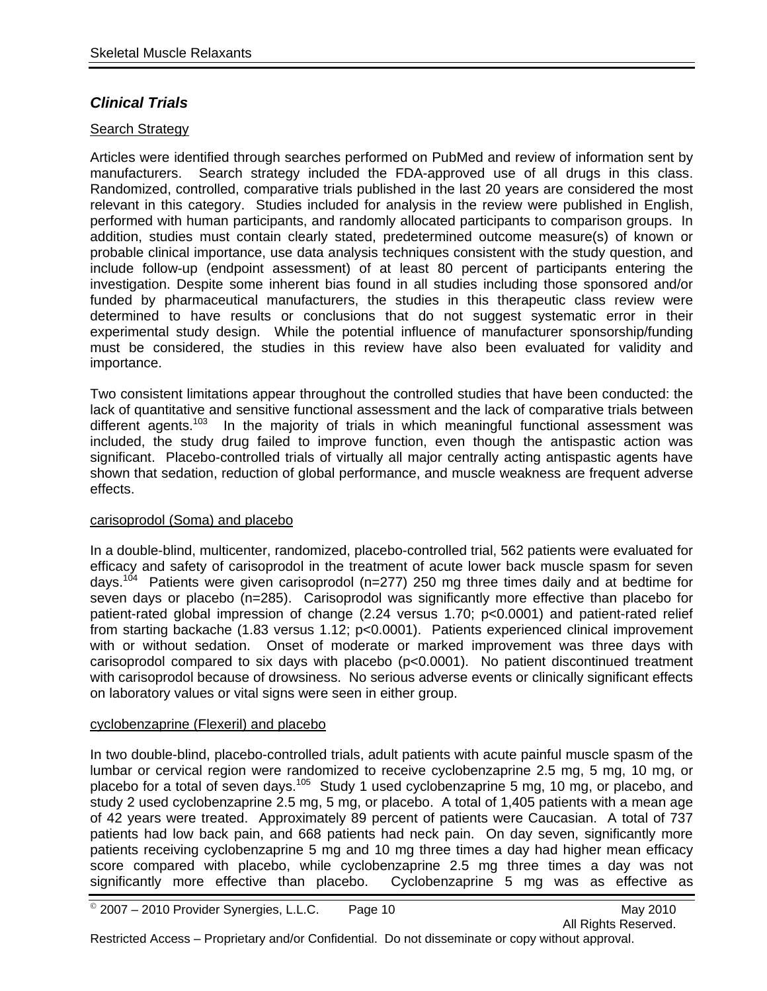### *Clinical Trials*

### Search Strategy

Articles were identified through searches performed on PubMed and review of information sent by manufacturers. Search strategy included the FDA-approved use of all drugs in this class. Randomized, controlled, comparative trials published in the last 20 years are considered the most relevant in this category. Studies included for analysis in the review were published in English, performed with human participants, and randomly allocated participants to comparison groups. In addition, studies must contain clearly stated, predetermined outcome measure(s) of known or probable clinical importance, use data analysis techniques consistent with the study question, and include follow-up (endpoint assessment) of at least 80 percent of participants entering the investigation. Despite some inherent bias found in all studies including those sponsored and/or funded by pharmaceutical manufacturers, the studies in this therapeutic class review were determined to have results or conclusions that do not suggest systematic error in their experimental study design. While the potential influence of manufacturer sponsorship/funding must be considered, the studies in this review have also been evaluated for validity and importance.

Two consistent limitations appear throughout the controlled studies that have been conducted: the lack of quantitative and sensitive functional assessment and the lack of comparative trials between different agents.<sup>103</sup> In the majority of trials in which meaningful functional assessment was included, the study drug failed to improve function, even though the antispastic action was significant. Placebo-controlled trials of virtually all major centrally acting antispastic agents have shown that sedation, reduction of global performance, and muscle weakness are frequent adverse effects.

### carisoprodol (Soma) and placebo

In a double-blind, multicenter, randomized, placebo-controlled trial, 562 patients were evaluated for efficacy and safety of carisoprodol in the treatment of acute lower back muscle spasm for seven days.<sup>104</sup> Patients were given carisoprodol (n=277) 250 mg three times daily and at bedtime for seven days or placebo (n=285). Carisoprodol was significantly more effective than placebo for patient-rated global impression of change (2.24 versus 1.70; p<0.0001) and patient-rated relief from starting backache (1.83 versus 1.12; p<0.0001). Patients experienced clinical improvement with or without sedation. Onset of moderate or marked improvement was three days with carisoprodol compared to six days with placebo (p<0.0001). No patient discontinued treatment with carisoprodol because of drowsiness. No serious adverse events or clinically significant effects on laboratory values or vital signs were seen in either group.

#### cyclobenzaprine (Flexeril) and placebo

In two double-blind, placebo-controlled trials, adult patients with acute painful muscle spasm of the lumbar or cervical region were randomized to receive cyclobenzaprine 2.5 mg, 5 mg, 10 mg, or placebo for a total of seven days.<sup>105</sup> Study 1 used cyclobenzaprine 5 mg, 10 mg, or placebo, and study 2 used cyclobenzaprine 2.5 mg, 5 mg, or placebo. A total of 1,405 patients with a mean age of 42 years were treated. Approximately 89 percent of patients were Caucasian. A total of 737 patients had low back pain, and 668 patients had neck pain. On day seven, significantly more patients receiving cyclobenzaprine 5 mg and 10 mg three times a day had higher mean efficacy score compared with placebo, while cyclobenzaprine 2.5 mg three times a day was not significantly more effective than placebo. Cyclobenzaprine 5 mg was as effective as Cyclobenzaprine 5 mg was as effective as

 $^{\circ}$  2007 – 2010 Provider Synergies, L.L.C. Page 10 May 2010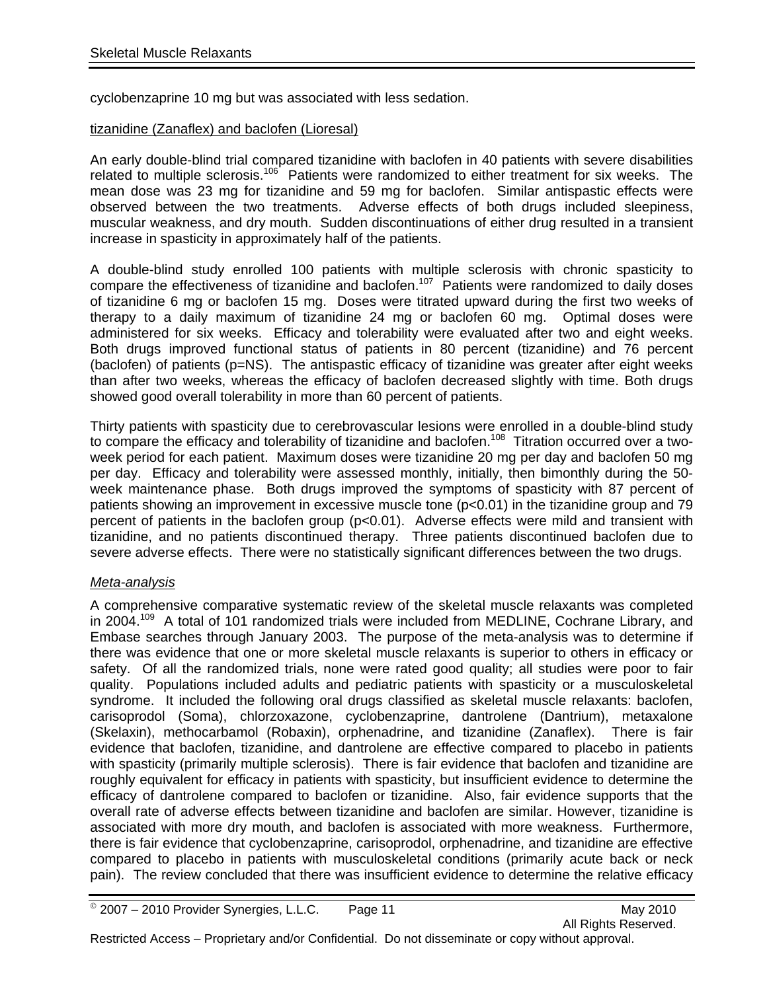cyclobenzaprine 10 mg but was associated with less sedation.

### tizanidine (Zanaflex) and baclofen (Lioresal)

An early double-blind trial compared tizanidine with baclofen in 40 patients with severe disabilities related to multiple sclerosis.<sup>106</sup> Patients were randomized to either treatment for six weeks. The mean dose was 23 mg for tizanidine and 59 mg for baclofen. Similar antispastic effects were observed between the two treatments. Adverse effects of both drugs included sleepiness, muscular weakness, and dry mouth. Sudden discontinuations of either drug resulted in a transient increase in spasticity in approximately half of the patients.

A double-blind study enrolled 100 patients with multiple sclerosis with chronic spasticity to compare the effectiveness of tizanidine and baclofen.<sup>107</sup> Patients were randomized to daily doses of tizanidine 6 mg or baclofen 15 mg. Doses were titrated upward during the first two weeks of therapy to a daily maximum of tizanidine 24 mg or baclofen 60 mg. Optimal doses were administered for six weeks. Efficacy and tolerability were evaluated after two and eight weeks. Both drugs improved functional status of patients in 80 percent (tizanidine) and 76 percent (baclofen) of patients (p=NS). The antispastic efficacy of tizanidine was greater after eight weeks than after two weeks, whereas the efficacy of baclofen decreased slightly with time. Both drugs showed good overall tolerability in more than 60 percent of patients.

Thirty patients with spasticity due to cerebrovascular lesions were enrolled in a double-blind study to compare the efficacy and tolerability of tizanidine and baclofen.<sup>108</sup> Titration occurred over a twoweek period for each patient. Maximum doses were tizanidine 20 mg per day and baclofen 50 mg per day. Efficacy and tolerability were assessed monthly, initially, then bimonthly during the 50 week maintenance phase. Both drugs improved the symptoms of spasticity with 87 percent of patients showing an improvement in excessive muscle tone (p<0.01) in the tizanidine group and 79 percent of patients in the baclofen group (p<0.01). Adverse effects were mild and transient with tizanidine, and no patients discontinued therapy. Three patients discontinued baclofen due to severe adverse effects. There were no statistically significant differences between the two drugs.

### *Meta-analysis*

A comprehensive comparative systematic review of the skeletal muscle relaxants was completed in 2004.<sup>109</sup> A total of 101 randomized trials were included from MEDLINE, Cochrane Library, and Embase searches through January 2003. The purpose of the meta-analysis was to determine if there was evidence that one or more skeletal muscle relaxants is superior to others in efficacy or safety. Of all the randomized trials, none were rated good quality; all studies were poor to fair quality. Populations included adults and pediatric patients with spasticity or a musculoskeletal syndrome. It included the following oral drugs classified as skeletal muscle relaxants: baclofen, carisoprodol (Soma), chlorzoxazone, cyclobenzaprine, dantrolene (Dantrium), metaxalone (Skelaxin), methocarbamol (Robaxin), orphenadrine, and tizanidine (Zanaflex). There is fair evidence that baclofen, tizanidine, and dantrolene are effective compared to placebo in patients with spasticity (primarily multiple sclerosis). There is fair evidence that baclofen and tizanidine are roughly equivalent for efficacy in patients with spasticity, but insufficient evidence to determine the efficacy of dantrolene compared to baclofen or tizanidine. Also, fair evidence supports that the overall rate of adverse effects between tizanidine and baclofen are similar. However, tizanidine is associated with more dry mouth, and baclofen is associated with more weakness. Furthermore, there is fair evidence that cyclobenzaprine, carisoprodol, orphenadrine, and tizanidine are effective compared to placebo in patients with musculoskeletal conditions (primarily acute back or neck pain). The review concluded that there was insufficient evidence to determine the relative efficacy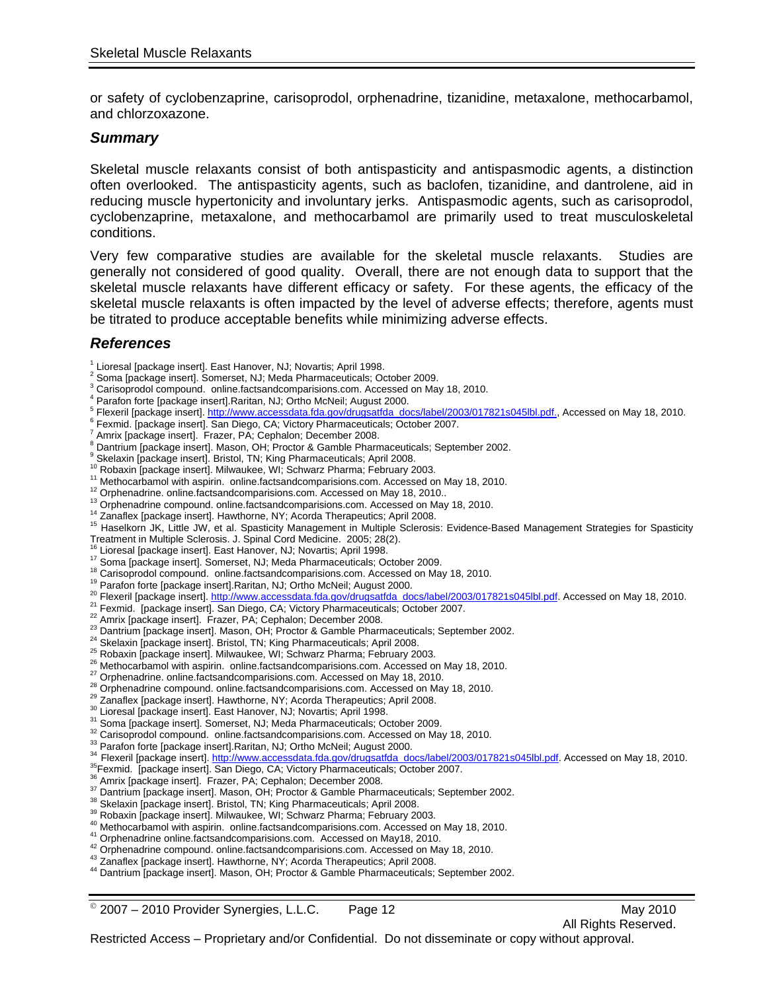or safety of cyclobenzaprine, carisoprodol, orphenadrine, tizanidine, metaxalone, methocarbamol, and chlorzoxazone.

#### *Summary*

Skeletal muscle relaxants consist of both antispasticity and antispasmodic agents, a distinction often overlooked. The antispasticity agents, such as baclofen, tizanidine, and dantrolene, aid in reducing muscle hypertonicity and involuntary jerks. Antispasmodic agents, such as carisoprodol, cyclobenzaprine, metaxalone, and methocarbamol are primarily used to treat musculoskeletal conditions.

Very few comparative studies are available for the skeletal muscle relaxants. Studies are generally not considered of good quality. Overall, there are not enough data to support that the skeletal muscle relaxants have different efficacy or safety. For these agents, the efficacy of the skeletal muscle relaxants is often impacted by the level of adverse effects; therefore, agents must be titrated to produce acceptable benefits while minimizing adverse effects.

### *References*

- 2 Soma [package insert]. Somerset, NJ; Meda Pharmaceuticals; October 2009.
- <sup>3</sup> Carisoprodol compound. online.factsandcomparisions.com. Accessed on May 18, 2010.
- Parafon forte [package insert].Raritan, NJ; Ortho McNeil; August 2000.
- <sup>5</sup> Flexeril [package insert]. http://www.accessdata.fda.gov/drugsatfda\_docs/label/2003/017821s045lbl.pdf., Accessed on May 18, 2010.<br><sup>6</sup> Formid Jacokage insert]. See Diogo, CA: Victory Phermocouticels: October 2007.
- <sup>6</sup> Fexmid. [package insert]. San Diego, CA; Victory Pharmaceuticals; October 2007.
- Amrix [package insert]. Frazer, PA; Cephalon; December 2008.
- <sup>8</sup> Dantrium [package insert]. Mason, OH; Proctor & Gamble Pharmaceuticals; September 2002.
- 
- 
- 
- 
- 
- 
- <sup>9</sup> Skelaxin [package insert]. Bristol, TN; King Pharmaceuticals; April 2008.<br><sup>10</sup> Robaxin [package insert]. Milwaukee, WI; Schwarz Pharma; February 2003.<br><sup>11</sup> Methocarbamol with aspirin. online.factsandcomparisions.com. A
- 
- 
- 
- 
- Treatment in Multiple Sciences: J. Spinal Cord Medicine. 2006; 28(2)<br>
"" Loresal package insert]. Smarten, NJ, Movaris; April 1998.<br>
"" Groma package insert]. Smarten for the facts and<br>
"Caristoprodol compound. online fact
- 
- 
- 
- 
- 
- 
- 
- 
- 
- 
- 
- 
- 
- 
- 
- 
- 
- 
- 
- 
- 
- 
- 
- 

 $^{\circ}$  2007 – 2010 Provider Synergies, L.L.C. Page 12 May 2010

<sup>&</sup>lt;sup>1</sup> Lioresal [package insert]. East Hanover, NJ; Novartis; April 1998.<br><sup>2</sup> Some [package insert]. Somerast, NJ: Mode Pharmacouticele: Oc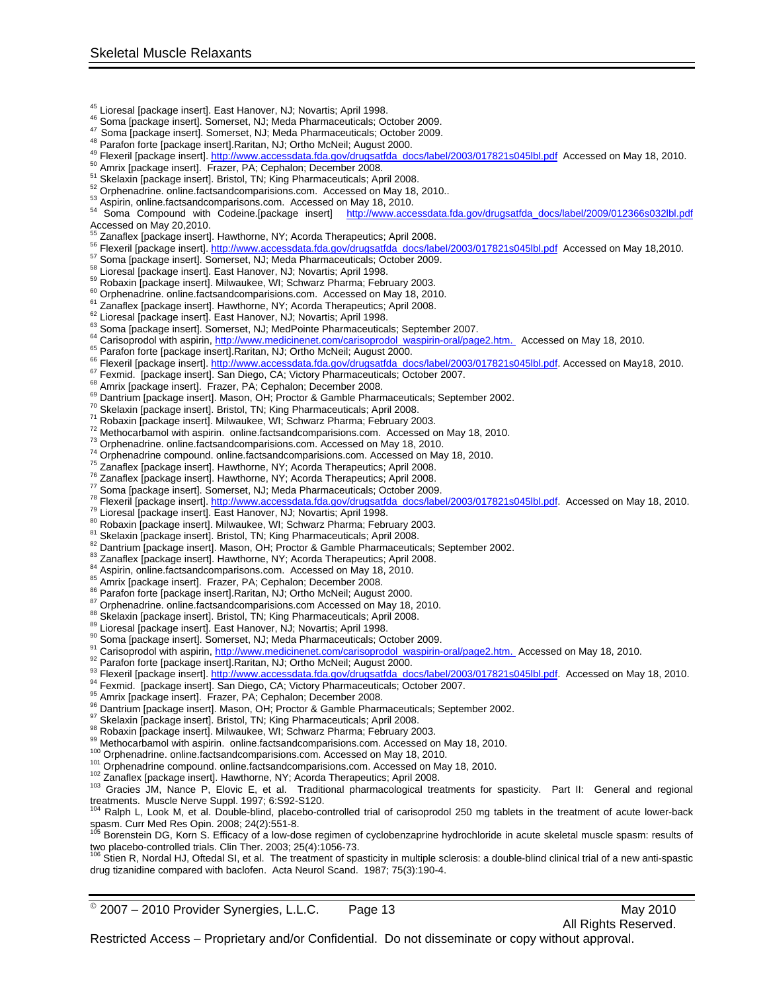- 
- 
- 
- 
- 
- 
- 
- 
- 
- <sup>45</sup> Lioresal [package insert]. East Hanover, NJ; Novartis; April 1998.<br>
<sup>46</sup> Soma [package insert]. Somerset, NJ; Meda Pharmaceuticals; October 2009.<br>
<sup>47</sup> Soma [package insert]. Somerset, NJ; Meda Pharmaceuticals; Octob Accessed on May 20,2010.
- 
- 
- 
- 
- 
- 
- 
- 
- 
- 
- 
- <sup>32</sup> Zanates (packing resert) Haubunne, NY, Acorda Therapedias, April 2005.<br><sup>2</sup> Zanates (packing resert) Haubunne, NY, Acorda Therapedias, April 2005.<br><sup>2</sup> Theoria [packing resert] Milesuary accounts/interaction 2003.<br><sup>2</sup> T
- 
- 
- 
- 
- 
- 
- 
- 
- 
- 
- 
- 
- 
- 
- 
- 
- 
- 
- 
- 
- 
- 
- 
- 
- 
- 
- 
- 
- 
- 
- 
- 
- 
- 
- 
- 

treatments. Muscle Nerve Suppl. 1997; 6:S92-S120.<br><sup>104</sup> Ralph L, Look M, et al. Double-blind, placebo-controlled trial of carisoprodol 250 mg tablets in the treatment of acute lower-back spasm. Curr Med Res Opin. 2008; 24(2):551-8.

drug tizanidine compared with baclofen. Acta Neurol Scand. 1987; 75(3):190-4.

 $^{\circ}$  2007 – 2010 Provider Synergies, L.L.C. Page 13 May 2010

All Rights Reserved.

<sup>105</sup> Borenstein DG, Korn S. Efficacy of a low-dose regimen of cyclobenzaprine hydrochloride in acute skeletal muscle spasm: results of two placebo-controlled trials. Clin Ther. 2003; 25(4):1056-73.<br><sup>106</sup> Stien R, Nordal HJ, Oftedal SI, et al. The treatment of spasticity in multiple sclerosis: a double-blind clinical trial of a new anti-spastic